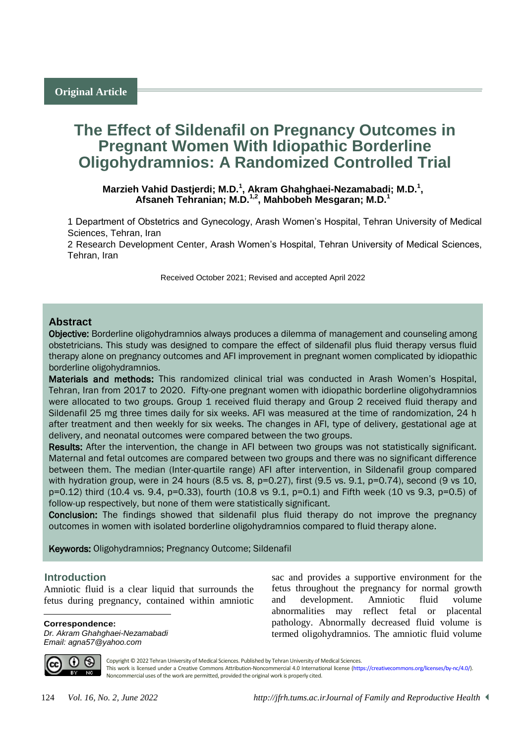# **The Effect of Sildenafil on Pregnancy Outcomes in Pregnant Women With Idiopathic Borderline Oligohydramnios: A Randomized Controlled Trial**

Marzieh Vahid Dastjerdi; M.D.<sup>1</sup>, Akram Ghahghaei-Nezamabadi; M.D.<sup>1</sup>, **Afsaneh Tehranian; M.D.1,2, Mahbobeh Mesgaran; M.D.<sup>1</sup>**

1 Department of Obstetrics and Gynecology, Arash Women's Hospital, Tehran University of Medical Sciences, Tehran, Iran

2 Research Development Center, Arash Women's Hospital, Tehran University of Medical Sciences, Tehran, Iran

Received October 2021; Revised and accepted April 2022

## **Abstract**

Objective: Borderline oligohydramnios always produces a dilemma of management and counseling among obstetricians. This study was designed to compare the effect of sildenafil plus fluid therapy versus fluid therapy alone on pregnancy outcomes and AFI improvement in pregnant women complicated by idiopathic borderline oligohydramnios.

Materials and methods: This randomized clinical trial was conducted in Arash Women's Hospital, Tehran, Iran from 2017 to 2020. Fifty-one pregnant women with idiopathic borderline oligohydramnios were allocated to two groups. Group 1 received fluid therapy and Group 2 received fluid therapy and Sildenafil 25 mg three times daily for six weeks. AFI was measured at the time of randomization, 24 h after treatment and then weekly for six weeks. The changes in AFI, type of delivery, gestational age at delivery, and neonatal outcomes were compared between the two groups.

Results: After the intervention, the change in AFI between two groups was not statistically significant. Maternal and fetal outcomes are compared between two groups and there was no significant difference between them. The median (Inter-quartile range) AFI after intervention, in Sildenafil group compared with hydration group, were in 24 hours (8.5 vs. 8,  $p=0.27$ ), first (9.5 vs. 9.1,  $p=0.74$ ), second (9 vs 10, p=0.12) third (10.4 vs. 9.4, p=0.33), fourth (10.8 vs 9.1, p=0.1) and Fifth week (10 vs 9.3, p=0.5) of follow-up respectively, but none of them were statistically significant.

Conclusion: The findings showed that sildenafil plus fluid therapy do not improve the pregnancy outcomes in women with isolated borderline oligohydramnios compared to fluid therapy alone.

Keywords: Oligohydramnios; Pregnancy Outcome; Sildenafil

#### <sup>1</sup>**Introduction**

Amniotic fluid is a clear liquid that surrounds the fetus during pregnancy, contained within amniotic

**Correspondence:**

*Dr. Akram Ghahghaei-Nezamabadi Email: agna57@yahoo.com*

sac and provides a supportive environment for the fetus throughout the pregnancy for normal growth and development. Amniotic fluid volume abnormalities may reflect fetal or placental pathology. Abnormally decreased fluid volume is termed oligohydramnios. The amniotic fluid volume



 $\overline{a}$ 

Copyright © 2022 Tehran University of Medical Sciences. Published by Tehran University of Medical Sciences.

This work is licensed under a Creative Commons Attribution-Noncommercial 4.0 International license [\(https://creativecommons.org/licenses/by-nc/4.0/\)](https://creativecommons.org/licenses/by-nc/4.0/). Noncommercial uses of the work are permitted, provided the original work is properly cited.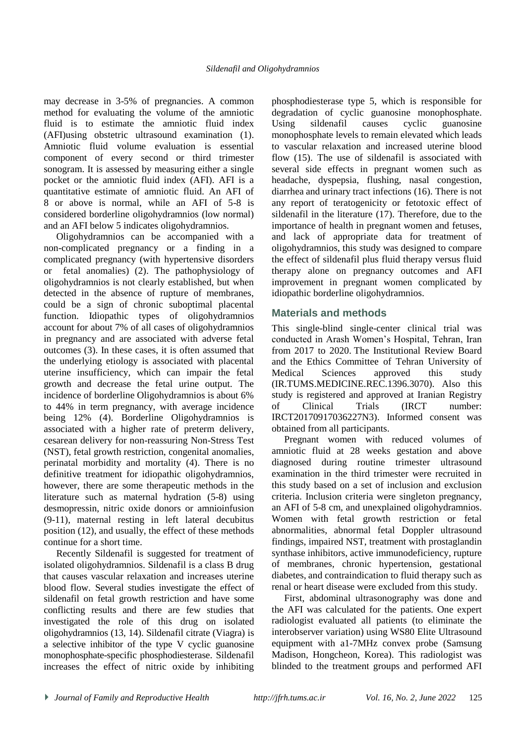may decrease in 3-5% of pregnancies. A common method for evaluating the volume of the amniotic fluid is to estimate the amniotic fluid index (AFI)using obstetric ultrasound examination (1). Amniotic fluid volume evaluation is essential component of every second or third trimester sonogram. It is assessed by measuring either a single pocket or the amniotic fluid index (AFI). AFI is a quantitative estimate of amniotic fluid. An AFI of 8 or above is normal, while an AFI of 5-8 is considered borderline oligohydramnios (low normal) and an AFI below 5 indicates oligohydramnios.

Oligohydramnios can be accompanied with a non-complicated pregnancy or a finding in a complicated pregnancy (with hypertensive disorders or fetal anomalies) (2). The pathophysiology of oligohydramnios is not clearly established, but when detected in the absence of rupture of membranes, could be a sign of chronic suboptimal placental function. Idiopathic types of oligohydramnios account for about 7% of all cases of oligohydramnios in pregnancy and are associated with adverse fetal outcomes (3). In these cases, it is often assumed that the underlying etiology is associated with placental uterine insufficiency, which can impair the fetal growth and decrease the fetal urine output. The incidence of borderline Oligohydramnios is about 6% to 44% in term pregnancy, with average incidence being 12% (4). Borderline Oligohydramnios is associated with a higher rate of preterm delivery, cesarean delivery for non-reassuring Non-Stress Test (NST), fetal growth restriction, congenital anomalies, perinatal morbidity and mortality (4). There is no definitive treatment for idiopathic oligohydramnios, however, there are some therapeutic methods in the literature such as maternal hydration (5-8) using desmopressin, nitric oxide donors or amnioinfusion (9-11), maternal resting in left lateral decubitus position (12), and usually, the effect of these methods continue for a short time.

Recently Sildenafil is suggested for treatment of isolated oligohydramnios. Sildenafil is a class B drug that causes vascular relaxation and increases uterine blood flow. Several studies investigate the effect of sildenafil on fetal growth restriction and have some conflicting results and there are few studies that investigated the role of this drug on isolated oligohydramnios (13, 14). Sildenafil citrate (Viagra) is a selective inhibitor of the type V cyclic guanosine monophosphate-specific phosphodiesterase. Sildenafil increases the effect of nitric oxide by inhibiting

phosphodiesterase type 5, which is responsible for degradation of cyclic guanosine monophosphate. Using sildenafil causes cyclic guanosine monophosphate levels to remain elevated which leads to vascular relaxation and increased uterine blood flow (15). The use of sildenafil is associated with several side effects in pregnant women such as headache, dyspepsia, flushing, nasal congestion, diarrhea and urinary tract infections (16). There is not any report of teratogenicity or fetotoxic effect of sildenafil in the literature (17). Therefore, due to the importance of health in pregnant women and fetuses, and lack of appropriate data for treatment of oligohydramnios, this study was designed to compare the effect of sildenafil plus fluid therapy versus fluid therapy alone on pregnancy outcomes and AFI improvement in pregnant women complicated by idiopathic borderline oligohydramnios.

## **Materials and methods**

This single-blind single-center clinical trial was conducted in Arash Women's Hospital, Tehran, Iran from 2017 to 2020. The Institutional Review Board and the Ethics Committee of Tehran University of Medical Sciences approved this study (IR.TUMS.MEDICINE.REC.1396.3070). Also this study is registered and approved at Iranian Registry of Clinical Trials (IRCT number: IRCT20170917036227N3). Informed consent was obtained from all participants.

Pregnant women with reduced volumes of amniotic fluid at 28 weeks gestation and above diagnosed during routine trimester ultrasound examination in the third trimester were recruited in this study based on a set of inclusion and exclusion criteria. Inclusion criteria were singleton pregnancy, an AFI of 5-8 cm, and unexplained oligohydramnios. Women with fetal growth restriction or fetal abnormalities, abnormal fetal Doppler ultrasound findings, impaired NST, treatment with prostaglandin synthase inhibitors, active immunodeficiency, rupture of membranes, chronic hypertension, gestational diabetes, and contraindication to fluid therapy such as renal or heart disease were excluded from this study.

First, abdominal ultrasonography was done and the AFI was calculated for the patients. One expert radiologist evaluated all patients (to eliminate the interobserver variation) using WS80 Elite Ultrasound equipment with a1-7MHz convex probe (Samsung Madison, Hongcheon, Korea). This radiologist was blinded to the treatment groups and performed AFI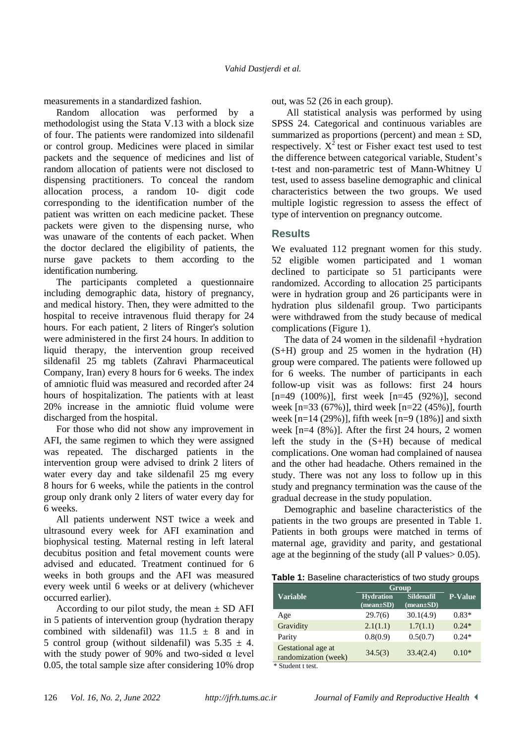measurements in a standardized fashion.

Random allocation was performed by a methodologist using the Stata V.13 with a block size of four. The patients were randomized into sildenafil or control group. Medicines were placed in similar packets and the sequence of medicines and list of random allocation of patients were not disclosed to dispensing practitioners. To conceal the random allocation process, a random 10- digit code corresponding to the identification number of the patient was written on each medicine packet. These packets were given to the dispensing nurse, who was unaware of the contents of each packet. When the doctor declared the eligibility of patients, the nurse gave packets to them according to the identification numbering.

The participants completed a questionnaire including demographic data, history of pregnancy, and medical history. Then, they were admitted to the hospital to receive intravenous fluid therapy for 24 hours. For each patient, 2 liters of Ringer's solution were administered in the first 24 hours. In addition to liquid therapy, the intervention group received sildenafil 25 mg tablets (Zahravi Pharmaceutical Company, Iran) every 8 hours for 6 weeks. The index of amniotic fluid was measured and recorded after 24 hours of hospitalization. The patients with at least 20% increase in the amniotic fluid volume were discharged from the hospital.

For those who did not show any improvement in AFI, the same regimen to which they were assigned was repeated. The discharged patients in the intervention group were advised to drink 2 liters of water every day and take sildenafil 25 mg every 8 hours for 6 weeks, while the patients in the control group only drank only 2 liters of water every day for 6 weeks.

All patients underwent NST twice a week and ultrasound every week for AFI examination and biophysical testing. Maternal resting in left lateral decubitus position and fetal movement counts were advised and educated. Treatment continued for 6 weeks in both groups and the AFI was measured every week until 6 weeks or at delivery (whichever occurred earlier).

According to our pilot study, the mean  $\pm$  SD AFI in 5 patients of intervention group (hydration therapy combined with sildenafil) was  $11.5 \pm 8$  and in 5 control group (without sildenafil) was  $5.35 \pm 4$ . with the study power of 90% and two-sided  $\alpha$  level 0.05, the total sample size after considering 10% drop out, was 52 (26 in each group).

All statistical analysis was performed by using SPSS 24. Categorical and continuous variables are summarized as proportions (percent) and mean  $\pm$  SD, respectively.  $X^2$  test or Fisher exact test used to test the difference between categorical variable, Student's t-test and non-parametric test of Mann-Whitney U test, used to assess baseline demographic and clinical characteristics between the two groups. We used multiple logistic regression to assess the effect of type of intervention on pregnancy outcome.

## **Results**

We evaluated 112 pregnant women for this study. 52 eligible women participated and 1 woman declined to participate so 51 participants were randomized. According to allocation 25 participants were in hydration group and 26 participants were in hydration plus sildenafil group. Two participants were withdrawed from the study because of medical complications (Figure 1).

The data of 24 women in the sildenafil +hydration (S+H) group and 25 women in the hydration (H) group were compared. The patients were followed up for 6 weeks. The number of participants in each follow-up visit was as follows: first 24 hours [n=49 (100%)], first week [n=45 (92%)], second week [n=33 (67%)], third week [n=22 (45%)], fourth week  $[n=14 (29%)]$ , fifth week  $[n=9 (18%)]$  and sixth week [n=4 (8%)]. After the first 24 hours, 2 women left the study in the (S+H) because of medical complications. One woman had complained of nausea and the other had headache. Others remained in the study. There was not any loss to follow up in this study and pregnancy termination was the cause of the gradual decrease in the study population.

Demographic and baseline characteristics of the patients in the two groups are presented in Table 1. Patients in both groups were matched in terms of maternal age, gravidity and parity, and gestational age at the beginning of the study (all P values> 0.05).

**Table 1:** Baseline characteristics of two study groups

|                                            | <b>Group</b>                        |                                      |         |  |
|--------------------------------------------|-------------------------------------|--------------------------------------|---------|--|
| <b>Variable</b>                            | <b>Hydration</b><br>$(mean \pm SD)$ | <b>Sildenafil</b><br>$(mean \pm SD)$ | P-Value |  |
| Age                                        | 29.7(6)                             | 30.1(4.9)                            | $0.83*$ |  |
| Gravidity                                  | 2.1(1.1)                            | 1.7(1.1)                             | $0.24*$ |  |
| Parity                                     | 0.8(0.9)                            | 0.5(0.7)                             | $0.24*$ |  |
| Gestational age at<br>randomization (week) | 34.5(3)                             | 33.4(2.4)                            | $0.10*$ |  |

\* Student t test.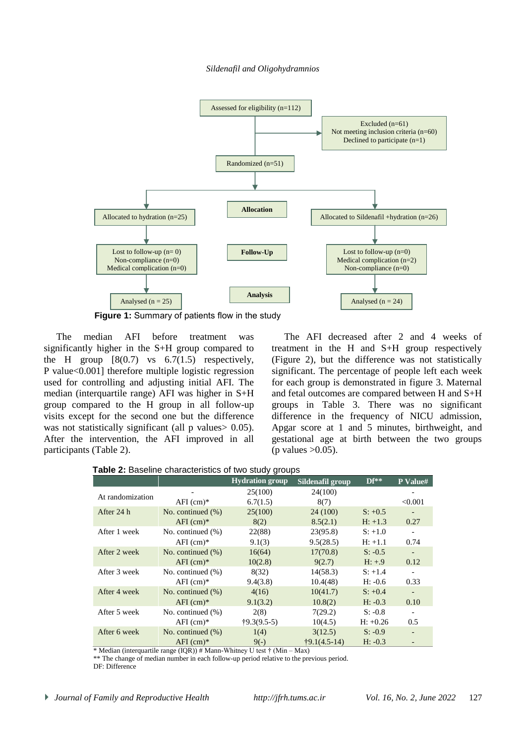#### *Sildenafil and Oligohydramnios*



**Figure 1:** Summary of patients flow in the study

The median AFI before treatment was significantly higher in the S+H group compared to the H group  $[8(0.7)$  vs  $6.7(1.5)$  respectively, P value<0.001] therefore multiple logistic regression used for controlling and adjusting initial AFI. The median (interquartile range) AFI was higher in S+H group compared to the H group in all follow-up visits except for the second one but the difference was not statistically significant (all p values > 0.05). After the intervention, the AFI improved in all participants (Table 2).

The AFI decreased after 2 and 4 weeks of treatment in the H and S+H group respectively (Figure 2), but the difference was not statistically significant. The percentage of people left each week for each group is demonstrated in figure 3. Maternal and fetal outcomes are compared between H and S+H groups in Table 3. There was no significant difference in the frequency of NICU admission, Apgar score at 1 and 5 minutes, birthweight, and gestational age at birth between the two groups (p values  $>0.05$ ).

|  |  | Table 2: Baseline characteristics of two study groups |  |  |  |
|--|--|-------------------------------------------------------|--|--|--|
|--|--|-------------------------------------------------------|--|--|--|

|                  |                       | <b>Hydration</b> group | Sildenafil group      | $\mathbf{D} \mathbf{f}^*$ | P Value#                 |
|------------------|-----------------------|------------------------|-----------------------|---------------------------|--------------------------|
| At randomization |                       | 25(100)                | 24(100)               |                           |                          |
|                  | $AFI$ (cm) $*$        | 6.7(1.5)               | 8(7)                  |                           | < 0.001                  |
| After 24 h       | No. continued $(\% )$ | 25(100)                | 24(100)               | $S: +0.5$                 | $\overline{\phantom{a}}$ |
|                  | $AFI$ (cm)*           | 8(2)                   | 8.5(2.1)              | $H: +1.3$                 | 0.27                     |
| After 1 week     | No. continued $(\%)$  | 22(88)                 | 23(95.8)              | $S: +1.0$                 | $\overline{\phantom{a}}$ |
|                  | $AFI$ (cm)*           | 9.1(3)                 | 9.5(28.5)             | $H: +1.1$                 | 0.74                     |
| After 2 week     | No. continued $(\%)$  | 16(64)                 | 17(70.8)              | $S: -0.5$                 | $\overline{\phantom{m}}$ |
|                  | $AFI$ (cm)*           | 10(2.8)                | 9(2.7)                | $H: +.9$                  | 0.12                     |
| After 3 week     | No. continued $(\%)$  | 8(32)                  | 14(58.3)              | $S: +1.4$                 | $\overline{\phantom{a}}$ |
|                  | $AFI$ (cm)*           | 9.4(3.8)               | 10.4(48)              | $H: -0.6$                 | 0.33                     |
| After 4 week     | No. continued $(\%)$  | 4(16)                  | 10(41.7)              | $S: +0.4$                 | $\overline{\phantom{a}}$ |
|                  | $AFI$ (cm)*           | 9.1(3.2)               | 10.8(2)               | $H: -0.3$                 | 0.10                     |
| After 5 week     | No. continued $(\%)$  | 2(8)                   | 7(29.2)               | $S: -0.8$                 |                          |
|                  | $AFI$ (cm)*           | $\uparrow$ 9.3(9.5-5)  | 10(4.5)               | $H: +0.26$                | 0.5                      |
| After 6 week     | No. continued $(\%)$  | 1(4)                   | 3(12.5)               | $S: -0.9$                 | $\overline{\phantom{0}}$ |
|                  | $AFI$ (cm)*           | $9(-)$                 | $\dagger$ 9.1(4.5-14) | $H: -0.3$                 |                          |

\* Median (interquartile range (IQR)) # Mann-Whitney U test † (Min – Max)

\*\* The change of median number in each follow-up period relative to the previous period. DF: Difference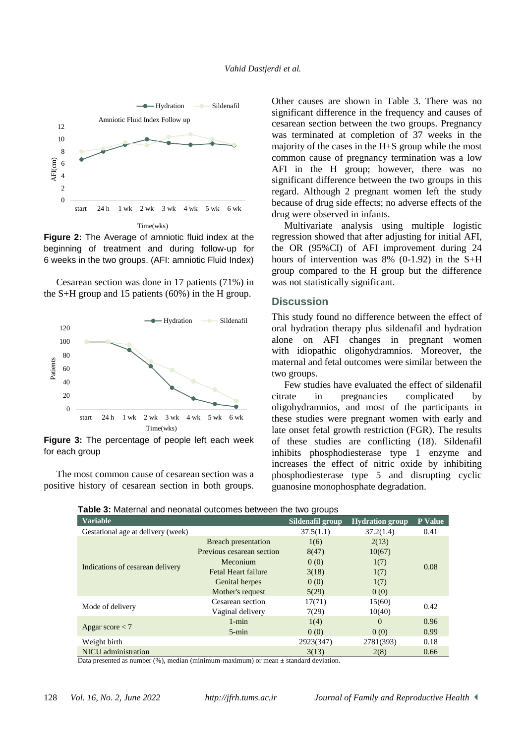

**Figure 2:** The Average of amniotic fluid index at the beginning of treatment and during follow-up for 6 weeks in the two groups. (AFI: amniotic Fluid Index)

Cesarean section was done in 17 patients (71%) in the S+H group and 15 patients (60%) in the H group.



**Figure 3:** The percentage of people left each week for each group

The most common cause of cesarean section was a positive history of cesarean section in both groups. Other causes are shown in Table 3. There was no significant difference in the frequency and causes of cesarean section between the two groups. Pregnancy was terminated at completion of 37 weeks in the majority of the cases in the H+S group while the most common cause of pregnancy termination was a low AFI in the H group; however, there was no significant difference between the two groups in this regard. Although 2 pregnant women left the study because of drug side effects; no adverse effects of the drug were observed in infants.

Multivariate analysis using multiple logistic regression showed that after adjusting for initial AFI, the OR (95%CI) of AFI improvement during 24 hours of intervention was  $8\%$  (0-1.92) in the S+H group compared to the H group but the difference was not statistically significant.

#### **Discussion**

This study found no difference between the effect of oral hydration therapy plus sildenafil and hydration alone on AFI changes in pregnant women with idiopathic oligohydramnios. Moreover, the maternal and fetal outcomes were similar between the two groups.

Few studies have evaluated the effect of sildenafil citrate in pregnancies complicated by oligohydramnios, and most of the participants in these studies were pregnant women with early and late onset fetal growth restriction (FGR). The results of these studies are conflicting (18). Sildenafil inhibits phosphodiesterase type 1 enzyme and increases the effect of nitric oxide by inhibiting phosphodiesterase type 5 and disrupting cyclic guanosine monophosphate degradation.

| <b>Variable</b>                    |                            | Sildenafil group | <b>Hydration group</b> | <b>P</b> Value |  |
|------------------------------------|----------------------------|------------------|------------------------|----------------|--|
| Gestational age at delivery (week) |                            | 37.5(1.1)        | 37.2(1.4)              | 0.41           |  |
| Indications of cesarean delivery   | <b>Breach presentation</b> | 1(6)             | 2(13)                  |                |  |
|                                    | Previous cesarean section  | 8(47)            | 10(67)                 |                |  |
|                                    | Meconium                   | 0(0)             | 1(7)                   | 0.08           |  |
|                                    | <b>Fetal Heart failure</b> | 3(18)            | 1(7)                   |                |  |
|                                    | Genital herpes             | 0(0)             | 1(7)                   |                |  |
|                                    | Mother's request           | 5(29)            | 0(0)                   |                |  |
| Mode of delivery                   | Cesarean section           | 17(71)           | 15(60)                 | 0.42           |  |
|                                    | Vaginal delivery           | 7(29)            | 10(40)                 |                |  |
| Apgar score $<$ 7                  | $1 - min$                  | 1(4)             | $\Omega$               | 0.96           |  |
|                                    | $5 - min$                  | 0(0)             | 0(0)                   | 0.99           |  |
| Weight birth                       |                            | 2923(347)        | 2781(393)              | 0.18           |  |
| NICU administration                |                            | 3(13)            | 2(8)                   | 0.66           |  |

**Table 3:** Maternal and neonatal outcomes between the two groups

Data presented as number (%), median (minimum-maximum) or mean  $\pm$  standard deviation.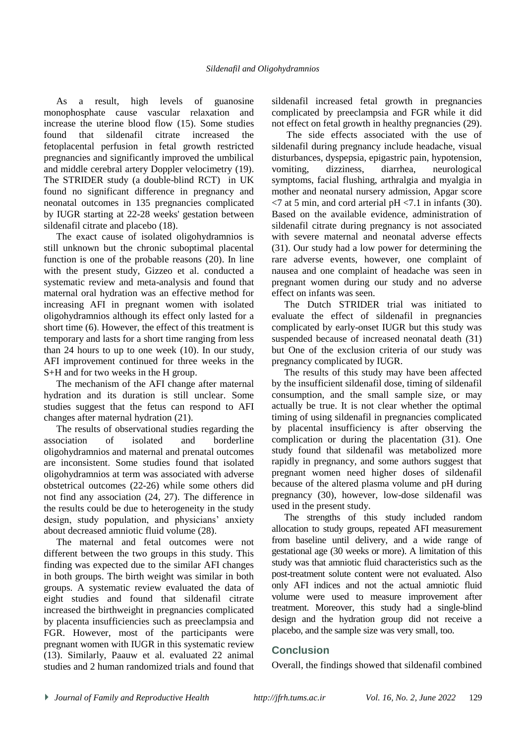As a result, high levels of guanosine monophosphate cause vascular relaxation and increase the uterine blood flow (15). Some studies found that sildenafil citrate increased the fetoplacental perfusion in fetal growth restricted pregnancies and significantly improved the umbilical and middle cerebral artery Doppler velocimetry (19). The STRIDER study (a double-blind RCT) in UK found no significant difference in pregnancy and neonatal outcomes in 135 pregnancies complicated by IUGR starting at 22-28 weeks' gestation between sildenafil citrate and placebo (18).

The exact cause of isolated oligohydramnios is still unknown but the chronic suboptimal placental function is one of the probable reasons (20). In line with the present study, Gizzeo et al. conducted a systematic review and meta-analysis and found that maternal oral hydration was an effective method for increasing AFI in pregnant women with isolated oligohydramnios although its effect only lasted for a short time (6). However, the effect of this treatment is temporary and lasts for a short time ranging from less than 24 hours to up to one week (10). In our study, AFI improvement continued for three weeks in the S+H and for two weeks in the H group.

The mechanism of the AFI change after maternal hydration and its duration is still unclear. Some studies suggest that the fetus can respond to AFI changes after maternal hydration (21).

The results of observational studies regarding the association of isolated and borderline oligohydramnios and maternal and prenatal outcomes are inconsistent. Some studies found that isolated oligohydramnios at term was associated with adverse obstetrical outcomes (22-26) while some others did not find any association (24, 27). The difference in the results could be due to heterogeneity in the study design, study population, and physicians' anxiety about decreased amniotic fluid volume (28).

The maternal and fetal outcomes were not different between the two groups in this study. This finding was expected due to the similar AFI changes in both groups. The birth weight was similar in both groups. A systematic review evaluated the data of eight studies and found that sildenafil citrate increased the birthweight in pregnancies complicated by placenta insufficiencies such as preeclampsia and FGR. However, most of the participants were pregnant women with IUGR in this systematic review (13). Similarly, Paauw et al. evaluated 22 animal studies and 2 human randomized trials and found that sildenafil increased fetal growth in pregnancies complicated by preeclampsia and FGR while it did not effect on fetal growth in healthy pregnancies (29).

The side effects associated with the use of sildenafil during pregnancy include headache, visual disturbances, dyspepsia, epigastric pain, hypotension, vomiting, dizziness, diarrhea, neurological symptoms, facial flushing, arthralgia and myalgia in mother and neonatal nursery admission, Apgar score  $\langle 7 \rangle$  at 5 min, and cord arterial pH $\langle 7.1 \rangle$  in infants (30). Based on the available evidence, administration of sildenafil citrate during pregnancy is not associated with severe maternal and neonatal adverse effects (31). Our study had a low power for determining the rare adverse events, however, one complaint of nausea and one complaint of headache was seen in pregnant women during our study and no adverse effect on infants was seen.

The Dutch STRIDER trial was initiated to evaluate the effect of sildenafil in pregnancies complicated by early-onset IUGR but this study was suspended because of increased neonatal death (31) but One of the exclusion criteria of our study was pregnancy complicated by IUGR.

The results of this study may have been affected by the insufficient sildenafil dose, timing of sildenafil consumption, and the small sample size, or may actually be true. It is not clear whether the optimal timing of using sildenafil in pregnancies complicated by placental insufficiency is after observing the complication or during the placentation (31). One study found that sildenafil was metabolized more rapidly in pregnancy, and some authors suggest that pregnant women need higher doses of sildenafil because of the altered plasma volume and pH during pregnancy (30), however, low-dose sildenafil was used in the present study.

The strengths of this study included random allocation to study groups, repeated AFI measurement from baseline until delivery, and a wide range of gestational age (30 weeks or more). A limitation of this study was that amniotic fluid characteristics such as the post-treatment solute content were not evaluated. Also only AFI indices and not the actual amniotic fluid volume were used to measure improvement after treatment. Moreover, this study had a single-blind design and the hydration group did not receive a placebo, and the sample size was very small, too.

## **Conclusion**

Overall, the findings showed that sildenafil combined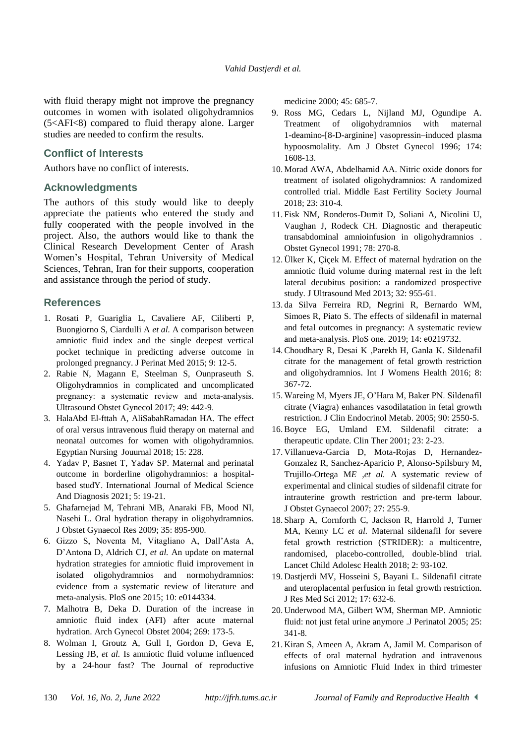with fluid therapy might not improve the pregnancy outcomes in women with isolated oligohydramnios (5<AFI<8) compared to fluid therapy alone. Larger studies are needed to confirm the results.

### **Conflict of Interests**

Authors have no conflict of interests.

### **Acknowledgments**

The authors of this study would like to deeply appreciate the patients who entered the study and fully cooperated with the people involved in the project. Also, the authors would like to thank the Clinical Research Development Center of Arash Women's Hospital, Tehran University of Medical Sciences, Tehran, Iran for their supports, cooperation and assistance through the period of study.

## **References**

- 1. Rosati P, Guariglia L, Cavaliere AF, Ciliberti P, Buongiorno S, Ciardulli A *et al.* A comparison between amniotic fluid index and the single deepest vertical pocket technique in predicting adverse outcome in prolonged pregnancy. J Perinat Med 2015; 9: 12-5.
- 2. Rabie N, Magann E, Steelman S, Ounpraseuth S. Oligohydramnios in complicated and uncomplicated pregnancy: a systematic review and meta-analysis. Ultrasound Obstet Gynecol 2017; 49: 442-9.
- 3. HalaAbd El-fttah A, AliSabahRamadan HA. The effect of oral versus intravenous fluid therapy on maternal and neonatal outcomes for women with oligohydramnios. Egyptian Nursing Jouurnal 2018; 15: 228.
- 4. Yadav P, Basnet T, Yadav SP. Maternal and perinatal outcome in borderline oligohydramnios: a hospitalbased studY. International Journal of Medical Science And Diagnosis 2021; 5: 19-21.
- 5. Ghafarnejad M, Tehrani MB, Anaraki FB, Mood NI, Nasehi L. Oral hydration therapy in oligohydramnios. J Obstet Gynaecol Res 2009; 35: 895-900.
- 6. Gizzo S, Noventa M, Vitagliano A, Dall'Asta A, D'Antona D, Aldrich CJ, *et al.* An update on maternal hydration strategies for amniotic fluid improvement in isolated oligohydramnios and normohydramnios: evidence from a systematic review of literature and meta-analysis. PloS one 2015; 10: e0144334.
- 7. Malhotra B, Deka D. Duration of the increase in amniotic fluid index (AFI) after acute maternal hydration. Arch Gynecol Obstet 2004; 269: 173-5.
- 8. Wolman I, Groutz A, Gull I, Gordon D, Geva E, Lessing JB, *et al.* Is amniotic fluid volume influenced by a 24-hour fast? The Journal of reproductive

medicine 2000; 45: 685-7.

- 9. Ross MG, Cedars L, Nijland MJ, Ogundipe A. Treatment of oligohydramnios with maternal 1-deamino-[8-D-arginine] vasopressin–induced plasma hypoosmolality. Am J Obstet Gynecol 1996; 174: 1608-13.
- 10. Morad AWA, Abdelhamid AA. Nitric oxide donors for treatment of isolated oligohydramnios: A randomized controlled trial. Middle East Fertility Society Journal 2018; 23: 310-4.
- 11. Fisk NM, Ronderos-Dumit D, Soliani A, Nicolini U, Vaughan J, Rodeck CH. Diagnostic and therapeutic transabdominal amnioinfusion in oligohydramnios . Obstet Gynecol 1991; 78: 270-8.
- 12. Ülker K, Çiçek M. Effect of maternal hydration on the amniotic fluid volume during maternal rest in the left lateral decubitus position: a randomized prospective study. J Ultrasound Med 2013; 32: 955-61.
- 13. da Silva Ferreira RD, Negrini R, Bernardo WM, Simoes R, Piato S. The effects of sildenafil in maternal and fetal outcomes in pregnancy: A systematic review and meta-analysis. PloS one. 2019; 14: e0219732.
- 14.Choudhary R, Desai K ,Parekh H, Ganla K. Sildenafil citrate for the management of fetal growth restriction and oligohydramnios. Int J Womens Health 2016; 8: 367-72.
- 15. Wareing M, Myers JE, O'Hara M, Baker PN. Sildenafil citrate (Viagra) enhances vasodilatation in fetal growth restriction. J Clin Endocrinol Metab. 2005; 90: 2550-5.
- 16.Boyce EG, Umland EM. Sildenafil citrate: a therapeutic update. Clin Ther 2001; 23: 2-23.
- 17. Villanueva-Garcia D, Mota-Rojas D, Hernandez-Gonzalez R, Sanchez-Aparicio P, Alonso-Spilsbury M, Trujillo-Ortega M*E ,et al.* A systematic review of experimental and clinical studies of sildenafil citrate for intrauterine growth restriction and pre-term labour. J Obstet Gynaecol 2007; 27: 255-9.
- 18. Sharp A, Cornforth C, Jackson R, Harrold J, Turner MA, Kenny LC *et al.* Maternal sildenafil for severe fetal growth restriction (STRIDER): a multicentre, randomised, placebo-controlled, double-blind trial. Lancet Child Adolesc Health 2018; 2: 93-102.
- 19. Dastjerdi MV, Hosseini S, Bayani L. Sildenafil citrate and uteroplacental perfusion in fetal growth restriction. J Res Med Sci 2012; 17: 632-6.
- 20. Underwood MA, Gilbert WM, Sherman MP. Amniotic fluid: not just fetal urine anymore .J Perinatol 2005; 25: 341-8.
- 21. Kiran S, Ameen A, Akram A, Jamil M. Comparison of effects of oral maternal hydration and intravenous infusions on Amniotic Fluid Index in third trimester